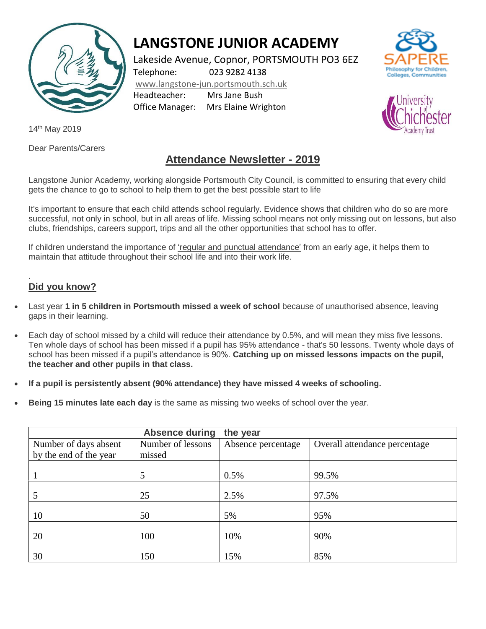

# **LANGSTONE JUNIOR ACADEMY**

Office Manager: Mrs Elaine Wrighton

Lakeside Avenue, Copnor, PORTSMOUTH PO3 6EZ Telephone: 023 9282 4138 [www.langstone-jun.portsmouth.sch.uk](http://www.langstone-jun.portsmouth.sch.uk/)  Headteacher: Mrs Jane Bush



niversity

14th May 2019

Dear Parents/Carers

# **Attendance Newsletter - 2019**

Langstone Junior Academy, working alongside Portsmouth City Council, is committed to ensuring that every child gets the chance to go to school to help them to get the best possible start to life

It's important to ensure that each child attends school regularly. Evidence shows that children who do so are more successful, not only in school, but in all areas of life. Missing school means not only missing out on lessons, but also clubs, friendships, careers support, trips and all the other opportunities that school has to offer.

If children understand the importance of 'regular and punctual attendance' from an early age, it helps them to maintain that attitude throughout their school life and into their work life.

#### . **Did you know?**

- Last year **1 in 5 children in Portsmouth missed a week of school** because of unauthorised absence, leaving gaps in their learning.
- Each day of school missed by a child will reduce their attendance by 0.5%, and will mean they miss five lessons. Ten whole days of school has been missed if a pupil has 95% attendance - that's 50 lessons. Twenty whole days of school has been missed if a pupil's attendance is 90%. **Catching up on missed lessons impacts on the pupil, the teacher and other pupils in that class.**
- **If a pupil is persistently absent (90% attendance) they have missed 4 weeks of schooling.**
- **Being 15 minutes late each day** is the same as missing two weeks of school over the year.

|                        | <b>Absence during</b> | the year           |                               |
|------------------------|-----------------------|--------------------|-------------------------------|
| Number of days absent  | Number of lessons     | Absence percentage | Overall attendance percentage |
| by the end of the year | missed                |                    |                               |
|                        |                       |                    |                               |
|                        | 5                     | 0.5%               | 99.5%                         |
| 5                      | 25                    | 2.5%               | 97.5%                         |
|                        |                       |                    |                               |
| 10                     | 50                    | 5%                 | 95%                           |
| 20                     | 100                   | 10%                | 90%                           |
|                        |                       |                    |                               |
| 30                     | 150                   | 15%                | 85%                           |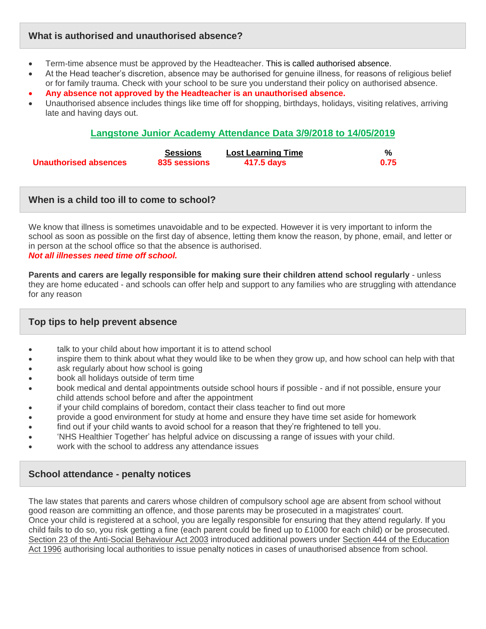## **What is authorised and unauthorised absence?**

- Term-time absence must be approved by the Headteacher. This is called authorised absence.
- At the Head teacher's discretion, absence may be authorised for genuine illness, for reasons of religious belief or for family trauma. Check with your school to be sure you understand their policy on authorised absence.
- **Any absence not approved by the Headteacher is an unauthorised absence.**
- Unauthorised absence includes things like time off for shopping, birthdays, holidays, visiting relatives, arriving late and having days out.

#### **Langstone Junior Academy Attendance Data 3/9/2018 to 14/05/2019**

|                       | <b>Sessions</b> | <b>Lost Learning Time</b> |      |
|-----------------------|-----------------|---------------------------|------|
| Unauthorised absences | 835 sessions    | 417.5 days                | 0.75 |

#### **When is a child too ill to come to school?**

We know that illness is sometimes unavoidable and to be expected. However it is very important to inform the school as soon as possible on the first day of absence, letting them know the reason, by phone, email, and letter or in person at the school office so that the absence is authorised. *Not all illnesses need time off school.*

## **Parents and carers are legally responsible for making sure their children attend school regularly** - unless they are home educated - and schools can offer help and support to any families who are struggling with attendance for any reason

#### **Top tips to help prevent absence**

- **talk to your child about how important it is to attend school**
- inspire them to think about what they would like to be when they grow up, and how school can help with that
- ask regularly about how school is going
- book all holidays outside of term time
- book medical and dental appointments outside school hours if possible and if not possible, ensure your child attends school before and after the appointment
- if your child complains of boredom, contact their class teacher to find out more
- provide a good environment for study at home and ensure they have time set aside for homework
- find out if your child wants to avoid school for a reason that they're frightened to tell you.
- 'NHS Healthier Together' has helpful [advice on discussing a range of issues with your child.](https://www.what0-18.nhs.uk/parentscarers/concerned-about-your-childs-behaviour-emotions)
- work with the school to address any attendance issues

#### **School attendance - penalty notices**

The law states that parents and carers whose children of compulsory school age are absent from school without good reason are committing an offence, and those parents may be prosecuted in a magistrates' court. Once your child is registered at a school, you are legally responsible for ensuring that they attend regularly. If you child fails to do so, you risk getting a fine (each parent could be fined up to £1000 for each child) or be prosecuted. [Section 23 of the Anti-Social Behaviour Act 2003](http://www.legislation.gov.uk/ukpga/2003/38/section/23) introduced additional powers under [Section 444 of the Education](http://www.legislation.gov.uk/ukpga/1996/56/section/444)  [Act 1996](http://www.legislation.gov.uk/ukpga/1996/56/section/444) authorising local authorities to issue penalty notices in cases of unauthorised absence from school.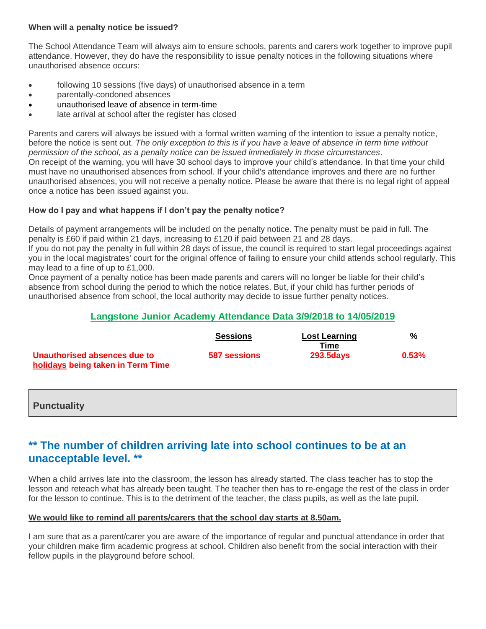#### **When will a penalty notice be issued?**

The School Attendance Team will always aim to ensure schools, parents and carers work together to improve pupil attendance. However, they do have the responsibility to issue penalty notices in the following situations where unauthorised absence occurs:

- following 10 sessions (five days) of unauthorised absence in a term
- parentally-condoned absences
- unauthorised leave of absence in term-time
- late arrival at school after the register has closed

Parents and carers will always be issued with a formal written warning of the intention to issue a penalty notice, before the notice is sent out. *The only exception to this is if you have a leave of absence in term time without permission of the school, as a penalty notice can be issued immediately in those circumstances*. On receipt of the warning, you will have 30 school days to improve your child's attendance. In that time your child must have no unauthorised absences from school. If your child's attendance improves and there are no further unauthorised absences, you will not receive a penalty notice. Please be aware that there is no legal right of appeal once a notice has been issued against you.

#### **How do I pay and what happens if I don't pay the penalty notice?**

Details of payment arrangements will be included on the penalty notice. The penalty must be paid in full. The penalty is £60 if paid within 21 days, increasing to £120 if paid between 21 and 28 days.

If you do not pay the penalty in full within 28 days of issue, the council is required to start legal proceedings against you in the local magistrates' court for the original offence of failing to ensure your child attends school regularly. This may lead to a fine of up to £1,000.

Once payment of a penalty notice has been made parents and carers will no longer be liable for their child's absence from school during the period to which the notice relates. But, if your child has further periods of unauthorised absence from school, the local authority may decide to issue further penalty notices.

#### **Langstone Junior Academy Attendance Data 3/9/2018 to 14/05/2019**

|                                                                   | <b>Sessions</b>     | Lost Learning            | %     |
|-------------------------------------------------------------------|---------------------|--------------------------|-------|
| Unauthorised absences due to<br>holidays being taken in Term Time | <b>587 sessions</b> | Time<br><b>293.5days</b> | 0.53% |

**Punctuality**

# **\*\* The number of children arriving late into school continues to be at an unacceptable level. \*\***

When a child arrives late into the classroom, the lesson has already started. The class teacher has to stop the lesson and reteach what has already been taught. The teacher then has to re-engage the rest of the class in order for the lesson to continue. This is to the detriment of the teacher, the class pupils, as well as the late pupil.

#### **We would like to remind all parents/carers that the school day starts at 8.50am.**

I am sure that as a parent/carer you are aware of the importance of regular and punctual attendance in order that your children make firm academic progress at school. Children also benefit from the social interaction with their fellow pupils in the playground before school.